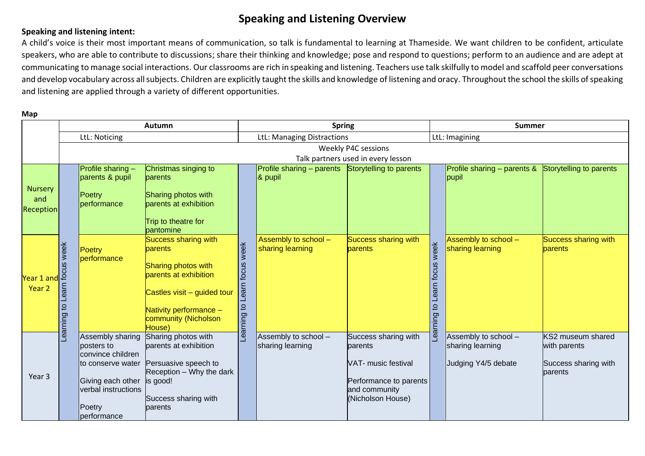## **Speaking and Listening Overview**

### **Speaking and listening intent:**

A child's voice is their most important means of communication, so talk is fundamental to learning at Thameside. We want children to be confident, articulate speakers, who are able to contribute to discussions; share their thinking and knowledge; pose and respond to questions; perform to an audience and are adept at communicating to manage social interactions. Our classrooms are rich in speaking and listening. Teachers use talk skilfully to model and scaffold peer conversations and develop vocabulary across all subjects. Children are explicitly taught the skills and knowledge of listening and oracy. Throughout the school the skills of speaking and listening are applied through a variety of different opportunities.

**Map**

|                                        | <b>Autumn</b>                              |                                                               |                                                                                                                                                                                   | <b>Spring</b>                                                                                                                                   |                                          |                                          | <b>Summer</b>                                                                                                          |                                          |                                                                 |                                                                      |
|----------------------------------------|--------------------------------------------|---------------------------------------------------------------|-----------------------------------------------------------------------------------------------------------------------------------------------------------------------------------|-------------------------------------------------------------------------------------------------------------------------------------------------|------------------------------------------|------------------------------------------|------------------------------------------------------------------------------------------------------------------------|------------------------------------------|-----------------------------------------------------------------|----------------------------------------------------------------------|
|                                        | LtL: Noticing                              |                                                               |                                                                                                                                                                                   |                                                                                                                                                 | LtL: Managing Distractions               |                                          |                                                                                                                        | LtL: Imagining                           |                                                                 |                                                                      |
|                                        |                                            |                                                               |                                                                                                                                                                                   |                                                                                                                                                 | <b>Weekly P4C sessions</b>               |                                          |                                                                                                                        |                                          |                                                                 |                                                                      |
|                                        | Talk partners used in every lesson         |                                                               |                                                                                                                                                                                   |                                                                                                                                                 |                                          |                                          |                                                                                                                        |                                          |                                                                 |                                                                      |
| <b>Nursery</b><br>and<br>Reception     |                                            | Profile sharing -<br>parents & pupil<br>Poetry<br>performance | Christmas singing to<br>parents<br>Sharing photos with<br>parents at exhibition<br>Trip to theatre for<br>pantomine                                                               |                                                                                                                                                 | Profile sharing - parents<br>$8$ pupil   | Storytelling to parents                  |                                                                                                                        | Profile sharing - parents &<br>pupil     | Storytelling to parents                                         |                                                                      |
| a<br>Pear 1 and 9<br>Year <sub>2</sub> | week<br>earn<br>$\overline{a}$<br>Learning | Poetry<br>performance                                         | <b>Success sharing with</b><br>parents<br>Sharing photos with<br>parents at exhibition<br>Castles visit - guided tour<br>Nativity performance -<br>community (Nicholson<br>House) | week<br>focus<br>earn<br>-earning to                                                                                                            | Assembly to school -<br>sharing learning | <b>Success sharing with</b><br>parents   | week<br>Learn focus<br>$\overline{a}$<br><b>puinu</b>                                                                  | Assembly to school -<br>sharing learning | <b>Success sharing with</b><br>parents                          |                                                                      |
| Year 3                                 |                                            |                                                               | Assembly sharing<br>posters to<br>convince children<br>to conserve water<br>Giving each other<br>verbal instructions<br>Poetry<br>performance                                     | Sharing photos with<br>parents at exhibition<br>Persuasive speech to<br>Reception - Why the dark<br>is good!<br>Success sharing with<br>parents |                                          | Assembly to school -<br>sharing learning | Success sharing with<br>parents<br>VAT- music festival<br>Performance to parents<br>and community<br>(Nicholson House) |                                          | Assembly to school -<br>sharing learning<br>Judging Y4/5 debate | KS2 museum shared<br>with parents<br>Success sharing with<br>parents |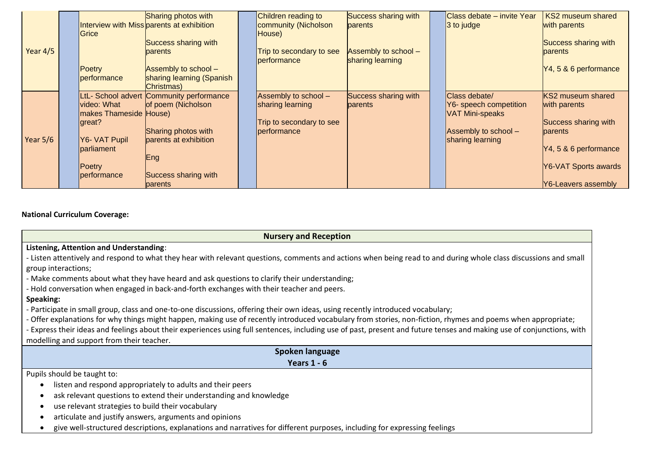|            | Grice                        | <b>Sharing photos with</b><br>Interview with Miss parents at exhibition | Children reading to<br>community (Nicholson<br>House) | Success sharing with<br><b>parents</b> | Class debate - invite Year<br>$ 3$ to judge | KS2 museum shared<br>with parents |
|------------|------------------------------|-------------------------------------------------------------------------|-------------------------------------------------------|----------------------------------------|---------------------------------------------|-----------------------------------|
| Year $4/5$ |                              | Success sharing with<br>parents                                         | Trip to secondary to see                              | Assembly to school -                   |                                             | Success sharing with<br>parents   |
|            |                              |                                                                         | performance                                           | sharing learning                       |                                             |                                   |
|            | <b>Poetry</b><br>performance | Assembly to school -<br>sharing learning (Spanish                       |                                                       |                                        |                                             | Y4, 5 & 6 performance             |
|            |                              | Christmas)                                                              |                                                       |                                        |                                             |                                   |
|            | video: What                  | LtL- School advert Community performance<br>of poem (Nicholson          | Assembly to school -<br>sharing learning              | Success sharing with                   | Class debate/                               | <b>KS2 museum shared</b>          |
|            | makes Thameside House)       |                                                                         |                                                       | parents                                | Y6- speech competition<br>VAT Mini-speaks   | with parents                      |
|            | great?                       |                                                                         | Trip to secondary to see                              |                                        |                                             | Success sharing with              |
| Year 5/6   | Y6- VAT Pupil                | Sharing photos with<br>parents at exhibition                            | performance                                           |                                        | Assembly to school -<br>sharing learning    | <b>parents</b>                    |
|            | parliament                   |                                                                         |                                                       |                                        |                                             | $\mathsf{N}4, 5 \& 6$ performance |
|            |                              | Eng                                                                     |                                                       |                                        |                                             |                                   |
|            | Poetry                       |                                                                         |                                                       |                                        |                                             | Y6-VAT Sports awards              |
|            | performance                  | Success sharing with                                                    |                                                       |                                        |                                             |                                   |
|            |                              | parents                                                                 |                                                       |                                        |                                             | <b>Y6-Leavers assembly</b>        |

#### **National Curriculum Coverage:**

**Nursery and Reception**

#### **Listening, Attention and Understanding**:

- Listen attentively and respond to what they hear with relevant questions, comments and actions when being read to and during whole class discussions and small group interactions;

- Make comments about what they have heard and ask questions to clarify their understanding;

- Hold conversation when engaged in back-and-forth exchanges with their teacher and peers.

#### **Speaking:**

- Participate in small group, class and one-to-one discussions, offering their own ideas, using recently introduced vocabulary;

- Offer explanations for why things might happen, making use of recently introduced vocabulary from stories, non-fiction, rhymes and poems when appropriate;

- Express their ideas and feelings about their experiences using full sentences, including use of past, present and future tenses and making use of conjunctions, with modelling and support from their teacher.

| Spoken language                                                                                                          |
|--------------------------------------------------------------------------------------------------------------------------|
| Years $1 - 6$                                                                                                            |
| Pupils should be taught to:                                                                                              |
| listen and respond appropriately to adults and their peers                                                               |
| ask relevant questions to extend their understanding and knowledge                                                       |
| use relevant strategies to build their vocabulary                                                                        |
| articulate and justify answers, arguments and opinions                                                                   |
| give well-structured descriptions, explanations and narratives for different purposes, including for expressing feelings |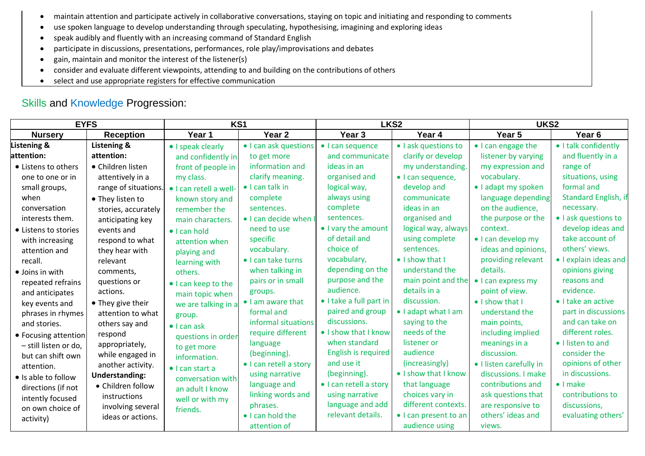- maintain attention and participate actively in collaborative conversations, staying on topic and initiating and responding to comments
- use spoken language to develop understanding through speculating, hypothesising, imagining and exploring ideas
- speak audibly and fluently with an increasing command of Standard English
- participate in discussions, presentations, performances, role play/improvisations and debates
- gain, maintain and monitor the interest of the listener(s)
- consider and evaluate different viewpoints, attending to and building on the contributions of others
- select and use appropriate registers for effective communication

# Skills and Knowledge Progression:

| <b>EYFS</b>             |                       | KS1                     |                         | LKS <sub>2</sub>        |                       | UKS <sub>2</sub>        |                            |  |
|-------------------------|-----------------------|-------------------------|-------------------------|-------------------------|-----------------------|-------------------------|----------------------------|--|
| <b>Nursery</b>          | <b>Reception</b>      | Year 1                  | Year <sub>2</sub>       | Year <sub>3</sub>       | Year 4                | Year 5                  | Year <sub>6</sub>          |  |
| <b>Listening &amp;</b>  | Listening &           | • I speak clearly       | • I can ask questions   | • I can sequence        | • I ask questions to  | • I can engage the      | • I talk confidently       |  |
| attention:              | attention:            | and confidently in      | to get more             | and communicate         | clarify or develop    | listener by varying     | and fluently in a          |  |
| • Listens to others     | • Children listen     | front of people in      | information and         | ideas in an             | my understanding.     | my expression and       | range of                   |  |
| one to one or in        | attentively in a      | my class.               | clarify meaning.        | organised and           | · I can sequence,     | vocabulary.             | situations, using          |  |
| small groups,           | range of situations.  | · I can retell a well-  | $\bullet$ I can talk in | logical way,            | develop and           | • I adapt my spoken     | formal and                 |  |
| when                    | • They listen to      | known story and         | complete                | always using            | communicate           | language depending      | Standard English, if       |  |
| conversation            | stories, accurately   | remember the            | sentences.              | complete                | ideas in an           | on the audience,        | necessary.                 |  |
| interests them.         | anticipating key      | main characters.        | • I can decide when I   | sentences.              | organised and         | the purpose or the      | · I ask questions to       |  |
| • Listens to stories    | events and            | $\bullet$ I can hold    | need to use             | • I vary the amount     | logical way, always   | context.                | develop ideas and          |  |
| with increasing         | respond to what       | attention when          | specific                | of detail and           | using complete        | • I can develop my      | take account of            |  |
| attention and           | they hear with        | playing and             | vocabulary.             | choice of               | sentences.            | ideas and opinions,     | others' views.             |  |
| recall.                 | relevant              | learning with           | • I can take turns      | vocabulary,             | • I show that I       | providing relevant      | • I explain ideas and      |  |
| $\bullet$ Joins in with | comments,             | others.                 | when talking in         | depending on the        | understand the        | details.                | opinions giving            |  |
| repeated refrains       | questions or          | • I can keep to the     | pairs or in small       | purpose and the         | main point and the    | • I can express my      | reasons and                |  |
| and anticipates         | actions.              | main topic when         | groups.                 | audience.               | details in a          | point of view.          | evidence.                  |  |
| key events and          | • They give their     | we are talking in a     | • I am aware that       | • I take a full part in | discussion.           | • I show that I         | $\bullet$ I take an active |  |
| phrases in rhymes       | attention to what     | group.                  | formal and              | paired and group        | • I adapt what I am   | understand the          | part in discussions        |  |
| and stories.            | others say and        | $\bullet$ I can ask     | informal situations     | discussions.            | saying to the         | main points,            | and can take on            |  |
| • Focusing attention    | respond               | questions in order      | require different       | • I show that I know    | needs of the          | including implied       | different roles.           |  |
| - still listen or do,   | appropriately,        | to get more             | language                | when standard           | listener or           | meanings in a           | • I listen to and          |  |
| but can shift own       | while engaged in      | information.            | (beginning).            | English is required     | audience              | discussion.             | consider the               |  |
| attention.              | another activity.     | $\bullet$ I can start a | · I can retell a story  | and use it              | (increasingly)        | • I listen carefully in | opinions of other          |  |
| • Is able to follow     | <b>Understanding:</b> | conversation with       | using narrative         | (beginning).            | • I show that I know  | discussions. I make     | in discussions.            |  |
| directions (if not      | • Children follow     | an adult I know         | language and            | • I can retell a story  | that language         | contributions and       | $\bullet$ I make           |  |
| intently focused        | instructions          | well or with my         | linking words and       | using narrative         | choices vary in       | ask questions that      | contributions to           |  |
| on own choice of        | involving several     | friends.                | phrases.                | language and add        | different contexts.   | are responsive to       | discussions,               |  |
| activity)               | ideas or actions.     |                         | • I can hold the        | relevant details.       | • I can present to an | others' ideas and       | evaluating others'         |  |
|                         |                       |                         | attention of            |                         | audience using        | views.                  |                            |  |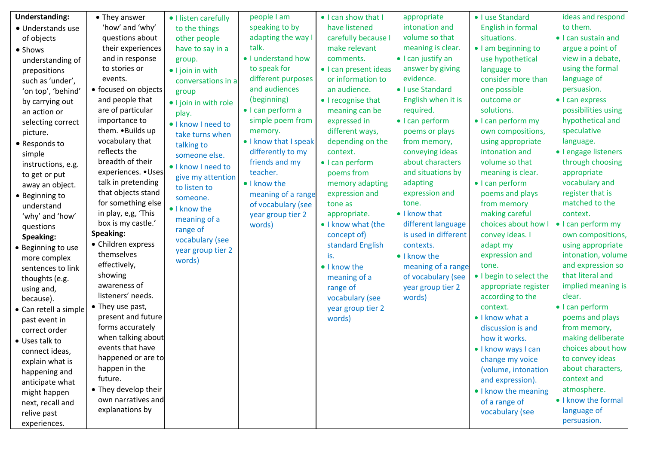| <b>Understanding:</b> | • They answer            | • I listen carefully  | people I am           | • I can show that I   | appropriate          | • I use Standard        | ideas and respond    |
|-----------------------|--------------------------|-----------------------|-----------------------|-----------------------|----------------------|-------------------------|----------------------|
| · Understands use     | 'how' and 'why'          | to the things         | speaking to by        | have listened         | intonation and       | English in formal       | to them.             |
| of objects            | questions about          | other people          | adapting the way I    | carefully because I   | volume so that       | situations.             | • I can sustain and  |
| • Shows               | their experiences        | have to say in a      | talk.                 | make relevant         | meaning is clear.    | · I am beginning to     | argue a point of     |
| understanding of      | and in response          | group.                | • I understand how    | comments.             | • I can justify an   | use hypothetical        | view in a debate,    |
| prepositions          | to stories or            | • I join in with      | to speak for          | · I can present ideas | answer by giving     | language to             | using the formal     |
| such as 'under',      | events.                  | conversations in a    | different purposes    | or information to     | evidence.            | consider more than      | language of          |
| 'on top', 'behind'    | • focused on objects     | group                 | and audiences         | an audience.          | • I use Standard     | one possible            | persuasion.          |
| by carrying out       | and people that          | • I join in with role | (beginning)           | • I recognise that    | English when it is   | outcome or              | • I can express      |
| an action or          | are of particular        | play.                 | · I can perform a     | meaning can be        | required.            | solutions.              | possibilities using  |
| selecting correct     | importance to            | · I know I need to    | simple poem from      | expressed in          | • I can perform      | • I can perform my      | hypothetical and     |
| picture.              | them. . Builds up        | take turns when       | memory.               | different ways,       | poems or plays       | own compositions,       | speculative          |
| • Responds to         | vocabulary that          | talking to            | • I know that I speak | depending on the      | from memory,         | using appropriate       | language.            |
| simple                | reflects the             | someone else.         | differently to my     | context.              | conveying ideas      | intonation and          | • I engage listeners |
| instructions, e.g.    | breadth of their         | · I know I need to    | friends and my        | • I can perform       | about characters     | volume so that          | through choosing     |
| to get or put         | experiences. • Uses      | give my attention     | teacher.              | poems from            | and situations by    | meaning is clear.       | appropriate          |
| away an object.       | talk in pretending       | to listen to          | • I know the          | memory adapting       | adapting             | • I can perform         | vocabulary and       |
| • Beginning to        | that objects stand       | someone.              | meaning of a range    | expression and        | expression and       | poems and plays         | register that is     |
| understand            | for something else       | • I know the          | of vocabulary (see    | tone as               | tone.                | from memory             | matched to the       |
| 'why' and 'how'       | in play, e,g, 'This      | meaning of a          | year group tier 2     | appropriate.          | • I know that        | making careful          | context.             |
| questions             | box is my castle.'       | range of              | words)                | • I know what (the    | different language   | choices about how       | • I can perform my   |
| Speaking:             | Speaking:                | vocabulary (see       |                       | concept of)           | is used in different | convey ideas. I         | own compositions,    |
| • Beginning to use    | • Children express       | year group tier 2     |                       | standard English      | contexts.            | adapt my                | using appropriate    |
| more complex          | themselves               | words)                |                       | is.                   | • I know the         | expression and          | intonation, volume   |
| sentences to link     | effectively,             |                       |                       | • I know the          | meaning of a range   | tone.                   | and expression so    |
| thoughts (e.g.        | showing                  |                       |                       | meaning of a          | of vocabulary (see   | • I begin to select the | that literal and     |
| using and,            | awareness of             |                       |                       | range of              | year group tier 2    | appropriate register    | implied meaning is   |
| because).             | listeners' needs.        |                       |                       | vocabulary (see       | words)               | according to the        | clear.               |
| • Can retell a simple | • They use past,         |                       |                       | year group tier 2     |                      | context.                | • I can perform      |
| past event in         | present and future       |                       |                       | words)                |                      | • I know what a         | poems and plays      |
| correct order         | forms accurately         |                       |                       |                       |                      | discussion is and       | from memory,         |
| • Uses talk to        | when talking about       |                       |                       |                       |                      | how it works.           | making deliberate    |
| connect ideas,        | events that have         |                       |                       |                       |                      | • I know ways I can     | choices about how    |
| explain what is       | happened or are to       |                       |                       |                       |                      | change my voice         | to convey ideas      |
| happening and         | happen in the<br>future. |                       |                       |                       |                      | (volume, intonation     | about characters,    |
| anticipate what       |                          |                       |                       |                       |                      | and expression).        | context and          |
| might happen          | • They develop their     |                       |                       |                       |                      | • I know the meaning    | atmosphere.          |
| next, recall and      | own narratives and       |                       |                       |                       |                      | of a range of           | • I know the formal  |
| relive past           | explanations by          |                       |                       |                       |                      | vocabulary (see         | language of          |
| experiences.          |                          |                       |                       |                       |                      |                         | persuasion.          |